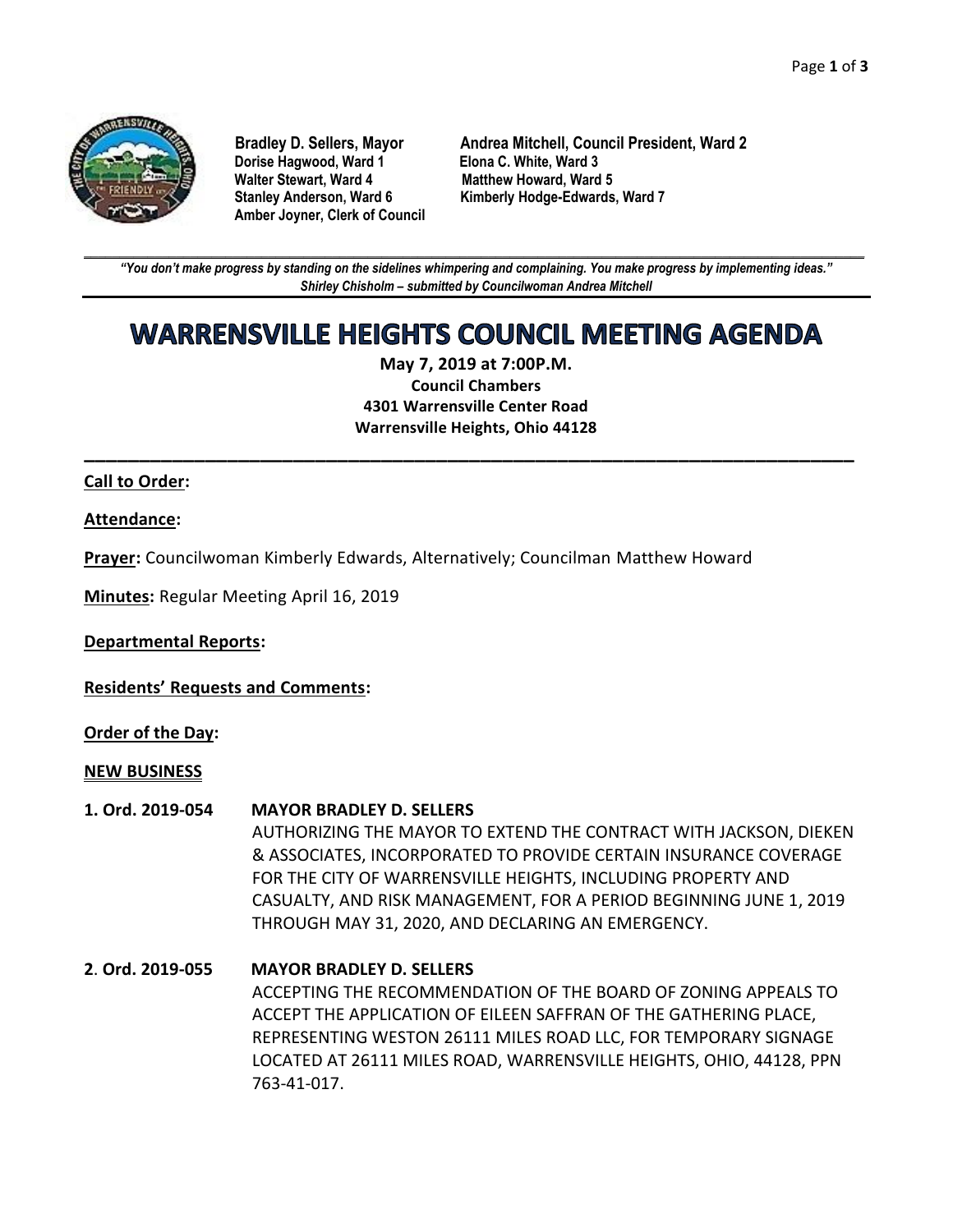

**Dorise Hagwood, Ward 1** Elona C. White, Ward 3<br>
Walter Stewart, Ward 4 Matthew Howard, Ward **Amber Joyner, Clerk of Council**

**Bradley D. Sellers, Mayor Andrea Mitchell, Council President, Ward 2 Matthew Howard, Ward 5 Stanley Anderson, Ward 6 Kimberly Hodge-Edwards, Ward 7**

**\_\_\_\_\_\_\_\_\_\_\_\_\_\_\_\_\_\_\_\_\_\_\_\_\_\_\_\_\_\_\_\_\_\_\_\_\_\_\_\_\_\_\_\_\_\_\_\_\_\_\_\_\_\_\_\_\_\_\_\_\_\_\_\_\_\_\_\_\_\_\_\_\_\_\_\_\_\_\_\_\_\_\_\_\_\_\_\_\_\_\_\_\_\_\_\_\_\_\_\_\_\_\_\_\_\_\_\_\_\_** *"You don't make progress by standing on the sidelines whimpering and complaining. You make progress by implementing ideas." Shirley Chisholm – submitted by Councilwoman Andrea Mitchell*

# **WARRENSVILLE HEIGHTS COUNCIL MEETING AGENDA**

**May 7, 2019 at 7:00P.M. Council Chambers 4301 Warrensville Center Road Warrensville Heights, Ohio 44128**

**\_\_\_\_\_\_\_\_\_\_\_\_\_\_\_\_\_\_\_\_\_\_\_\_\_\_\_\_\_\_\_\_\_\_\_\_\_\_\_\_\_\_\_\_\_\_\_\_\_\_\_\_\_\_\_\_\_\_\_\_\_\_\_\_\_\_\_\_\_\_**

### **Call to Order:**

### **Attendance:**

**Prayer:** Councilwoman Kimberly Edwards, Alternatively; Councilman Matthew Howard

**Minutes:** Regular Meeting April 16, 2019

**Departmental Reports:**

**Residents' Requests and Comments:**

**Order of the Day:**

#### **NEW BUSINESS**

#### **1. Ord. 2019-054 MAYOR BRADLEY D. SELLERS**

AUTHORIZING THE MAYOR TO EXTEND THE CONTRACT WITH JACKSON, DIEKEN & ASSOCIATES, INCORPORATED TO PROVIDE CERTAIN INSURANCE COVERAGE FOR THE CITY OF WARRENSVILLE HEIGHTS, INCLUDING PROPERTY AND CASUALTY, AND RISK MANAGEMENT, FOR A PERIOD BEGINNING JUNE 1, 2019 THROUGH MAY 31, 2020, AND DECLARING AN EMERGENCY.

# **2**. **Ord. 2019-055 MAYOR BRADLEY D. SELLERS** ACCEPTING THE RECOMMENDATION OF THE BOARD OF ZONING APPEALS TO ACCEPT THE APPLICATION OF EILEEN SAFFRAN OF THE GATHERING PLACE, REPRESENTING WESTON 26111 MILES ROAD LLC, FOR TEMPORARY SIGNAGE LOCATED AT 26111 MILES ROAD, WARRENSVILLE HEIGHTS, OHIO, 44128, PPN 763-41-017.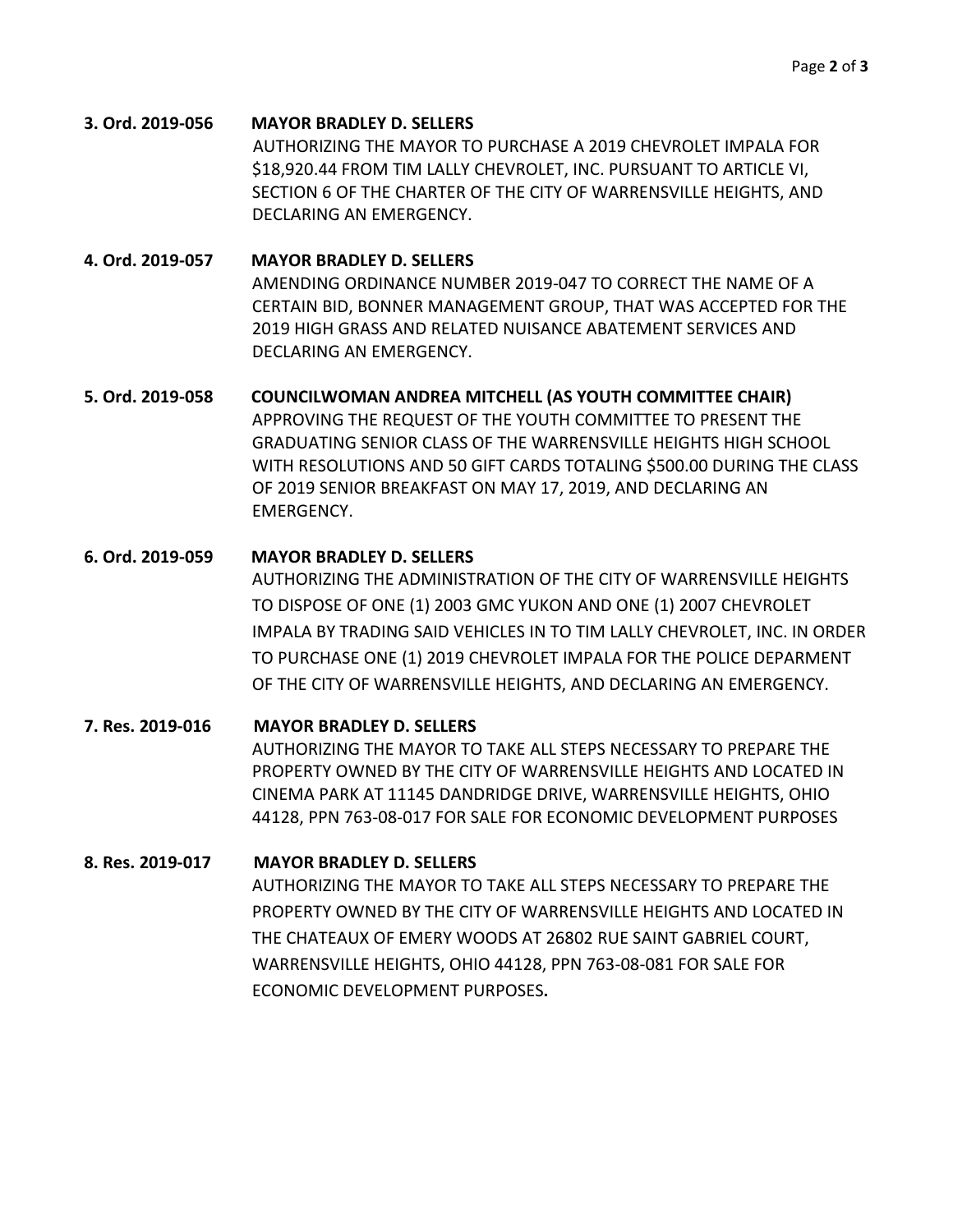**3. Ord. 2019-056 MAYOR BRADLEY D. SELLERS** AUTHORIZING THE MAYOR TO PURCHASE A 2019 CHEVROLET IMPALA FOR \$18,920.44 FROM TIM LALLY CHEVROLET, INC. PURSUANT TO ARTICLE VI, SECTION 6 OF THE CHARTER OF THE CITY OF WARRENSVILLE HEIGHTS, AND DECLARING AN EMERGENCY.

**4. Ord. 2019-057 MAYOR BRADLEY D. SELLERS** AMENDING ORDINANCE NUMBER 2019-047 TO CORRECT THE NAME OF A CERTAIN BID, BONNER MANAGEMENT GROUP, THAT WAS ACCEPTED FOR THE 2019 HIGH GRASS AND RELATED NUISANCE ABATEMENT SERVICES AND DECLARING AN EMERGENCY.

**5. Ord. 2019-058 COUNCILWOMAN ANDREA MITCHELL (AS YOUTH COMMITTEE CHAIR)** APPROVING THE REQUEST OF THE YOUTH COMMITTEE TO PRESENT THE GRADUATING SENIOR CLASS OF THE WARRENSVILLE HEIGHTS HIGH SCHOOL WITH RESOLUTIONS AND 50 GIFT CARDS TOTALING \$500.00 DURING THE CLASS OF 2019 SENIOR BREAKFAST ON MAY 17, 2019, AND DECLARING AN EMERGENCY.

# **6. Ord. 2019-059 MAYOR BRADLEY D. SELLERS** AUTHORIZING THE ADMINISTRATION OF THE CITY OF WARRENSVILLE HEIGHTS TO DISPOSE OF ONE (1) 2003 GMC YUKON AND ONE (1) 2007 CHEVROLET IMPALA BY TRADING SAID VEHICLES IN TO TIM LALLY CHEVROLET, INC. IN ORDER TO PURCHASE ONE (1) 2019 CHEVROLET IMPALA FOR THE POLICE DEPARMENT OF THE CITY OF WARRENSVILLE HEIGHTS, AND DECLARING AN EMERGENCY.

**7. Res. 2019-016 MAYOR BRADLEY D. SELLERS** AUTHORIZING THE MAYOR TO TAKE ALL STEPS NECESSARY TO PREPARE THE PROPERTY OWNED BY THE CITY OF WARRENSVILLE HEIGHTS AND LOCATED IN CINEMA PARK AT 11145 DANDRIDGE DRIVE, WARRENSVILLE HEIGHTS, OHIO 44128, PPN 763-08-017 FOR SALE FOR ECONOMIC DEVELOPMENT PURPOSES

# **8. Res. 2019-017 MAYOR BRADLEY D. SELLERS**

AUTHORIZING THE MAYOR TO TAKE ALL STEPS NECESSARY TO PREPARE THE PROPERTY OWNED BY THE CITY OF WARRENSVILLE HEIGHTS AND LOCATED IN THE CHATEAUX OF EMERY WOODS AT 26802 RUE SAINT GABRIEL COURT, WARRENSVILLE HEIGHTS, OHIO 44128, PPN 763-08-081 FOR SALE FOR ECONOMIC DEVELOPMENT PURPOSES**.**